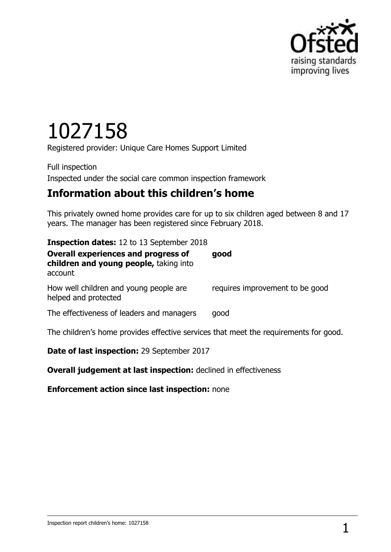

# 1027158

Registered provider: Unique Care Homes Support Limited

Full inspection Inspected under the social care common inspection framework

## **Information about this children's home**

This privately owned home provides care for up to six children aged between 8 and 17 years. The manager has been registered since February 2018.

| <b>Inspection dates:</b> 12 to 13 September 2018                                                |                                 |
|-------------------------------------------------------------------------------------------------|---------------------------------|
| <b>Overall experiences and progress of</b><br>children and young people, taking into<br>account | good                            |
| How well children and young people are<br>helped and protected                                  | requires improvement to be good |
| The effectiveness of leaders and managers                                                       | good                            |
| The children's home provides effective services that meet the requirements for good.            |                                 |

**Date of last inspection:** 29 September 2017

**Overall judgement at last inspection:** declined in effectiveness

**Enforcement action since last inspection:** none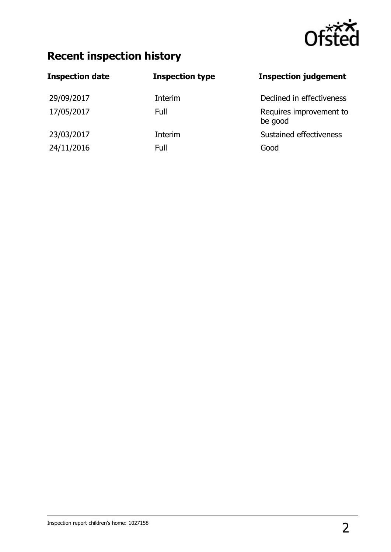

## **Recent inspection history**

| <b>Inspection date</b> | <b>Inspection type</b> | <b>Inspection judgement</b>        |
|------------------------|------------------------|------------------------------------|
| 29/09/2017             | Interim                | Declined in effectiveness          |
| 17/05/2017             | Full                   | Requires improvement to<br>be good |
| 23/03/2017             | Interim                | Sustained effectiveness            |
| 24/11/2016             | Full                   | Good                               |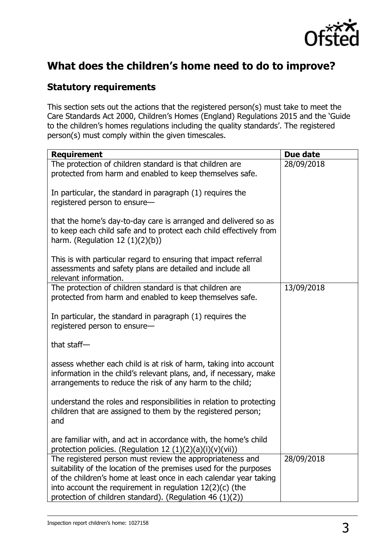

## **What does the children's home need to do to improve?**

#### **Statutory requirements**

This section sets out the actions that the registered person(s) must take to meet the Care Standards Act 2000, Children's Homes (England) Regulations 2015 and the 'Guide to the children's homes regulations including the quality standards'. The registered person(s) must comply within the given timescales.

| <b>Requirement</b>                                                                                                                                                                                                                                                                                                            | Due date   |
|-------------------------------------------------------------------------------------------------------------------------------------------------------------------------------------------------------------------------------------------------------------------------------------------------------------------------------|------------|
| The protection of children standard is that children are<br>protected from harm and enabled to keep themselves safe.                                                                                                                                                                                                          | 28/09/2018 |
| In particular, the standard in paragraph (1) requires the<br>registered person to ensure-                                                                                                                                                                                                                                     |            |
| that the home's day-to-day care is arranged and delivered so as<br>to keep each child safe and to protect each child effectively from<br>harm. (Regulation $12(1)(2)(b)$ )                                                                                                                                                    |            |
| This is with particular regard to ensuring that impact referral<br>assessments and safety plans are detailed and include all<br>relevant information.                                                                                                                                                                         |            |
| The protection of children standard is that children are<br>protected from harm and enabled to keep themselves safe.                                                                                                                                                                                                          | 13/09/2018 |
| In particular, the standard in paragraph (1) requires the<br>registered person to ensure-                                                                                                                                                                                                                                     |            |
| that staff-                                                                                                                                                                                                                                                                                                                   |            |
| assess whether each child is at risk of harm, taking into account<br>information in the child's relevant plans, and, if necessary, make<br>arrangements to reduce the risk of any harm to the child;                                                                                                                          |            |
| understand the roles and responsibilities in relation to protecting<br>children that are assigned to them by the registered person;<br>and                                                                                                                                                                                    |            |
| are familiar with, and act in accordance with, the home's child<br>protection policies. (Regulation 12 $(1)(2)(a)(i)(v)(vii)$ )                                                                                                                                                                                               |            |
| The registered person must review the appropriateness and<br>suitability of the location of the premises used for the purposes<br>of the children's home at least once in each calendar year taking<br>into account the requirement in regulation $12(2)(c)$ (the<br>protection of children standard). (Regulation 46 (1)(2)) | 28/09/2018 |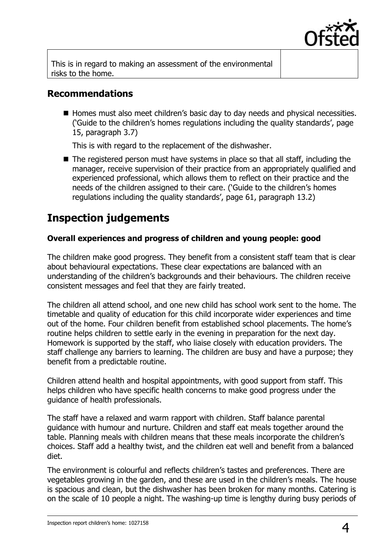

This is in regard to making an assessment of the environmental risks to the home.

#### **Recommendations**

Homes must also meet children's basic day to day needs and physical necessities. ('Guide to the children's homes regulations including the quality standards', page 15, paragraph 3.7)

This is with regard to the replacement of the dishwasher.

 $\blacksquare$  The registered person must have systems in place so that all staff, including the manager, receive supervision of their practice from an appropriately qualified and experienced professional, which allows them to reflect on their practice and the needs of the children assigned to their care. ('Guide to the children's homes regulations including the quality standards', page 61, paragraph 13.2)

## **Inspection judgements**

#### **Overall experiences and progress of children and young people: good**

The children make good progress. They benefit from a consistent staff team that is clear about behavioural expectations. These clear expectations are balanced with an understanding of the children's backgrounds and their behaviours. The children receive consistent messages and feel that they are fairly treated.

The children all attend school, and one new child has school work sent to the home. The timetable and quality of education for this child incorporate wider experiences and time out of the home. Four children benefit from established school placements. The home's routine helps children to settle early in the evening in preparation for the next day. Homework is supported by the staff, who liaise closely with education providers. The staff challenge any barriers to learning. The children are busy and have a purpose; they benefit from a predictable routine.

Children attend health and hospital appointments, with good support from staff. This helps children who have specific health concerns to make good progress under the guidance of health professionals.

The staff have a relaxed and warm rapport with children. Staff balance parental guidance with humour and nurture. Children and staff eat meals together around the table. Planning meals with children means that these meals incorporate the children's choices. Staff add a healthy twist, and the children eat well and benefit from a balanced diet.

The environment is colourful and reflects children's tastes and preferences. There are vegetables growing in the garden, and these are used in the children's meals. The house is spacious and clean, but the dishwasher has been broken for many months. Catering is on the scale of 10 people a night. The washing-up time is lengthy during busy periods of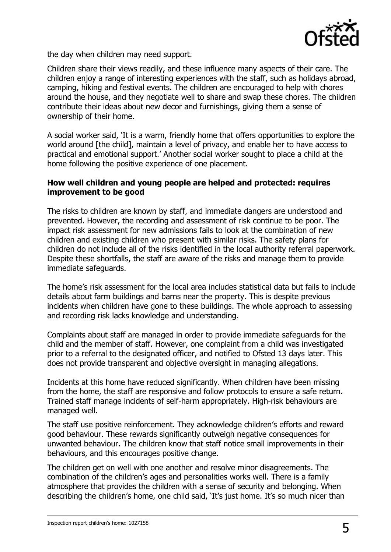

the day when children may need support.

Children share their views readily, and these influence many aspects of their care. The children enjoy a range of interesting experiences with the staff, such as holidays abroad, camping, hiking and festival events. The children are encouraged to help with chores around the house, and they negotiate well to share and swap these chores. The children contribute their ideas about new decor and furnishings, giving them a sense of ownership of their home.

A social worker said, 'It is a warm, friendly home that offers opportunities to explore the world around [the child], maintain a level of privacy, and enable her to have access to practical and emotional support.' Another social worker sought to place a child at the home following the positive experience of one placement.

#### **How well children and young people are helped and protected: requires improvement to be good**

The risks to children are known by staff, and immediate dangers are understood and prevented. However, the recording and assessment of risk continue to be poor. The impact risk assessment for new admissions fails to look at the combination of new children and existing children who present with similar risks. The safety plans for children do not include all of the risks identified in the local authority referral paperwork. Despite these shortfalls, the staff are aware of the risks and manage them to provide immediate safeguards.

The home's risk assessment for the local area includes statistical data but fails to include details about farm buildings and barns near the property. This is despite previous incidents when children have gone to these buildings. The whole approach to assessing and recording risk lacks knowledge and understanding.

Complaints about staff are managed in order to provide immediate safeguards for the child and the member of staff. However, one complaint from a child was investigated prior to a referral to the designated officer, and notified to Ofsted 13 days later. This does not provide transparent and objective oversight in managing allegations.

Incidents at this home have reduced significantly. When children have been missing from the home, the staff are responsive and follow protocols to ensure a safe return. Trained staff manage incidents of self-harm appropriately. High-risk behaviours are managed well.

The staff use positive reinforcement. They acknowledge children's efforts and reward good behaviour. These rewards significantly outweigh negative consequences for unwanted behaviour. The children know that staff notice small improvements in their behaviours, and this encourages positive change.

The children get on well with one another and resolve minor disagreements. The combination of the children's ages and personalities works well. There is a family atmosphere that provides the children with a sense of security and belonging. When describing the children's home, one child said, 'It's just home. It's so much nicer than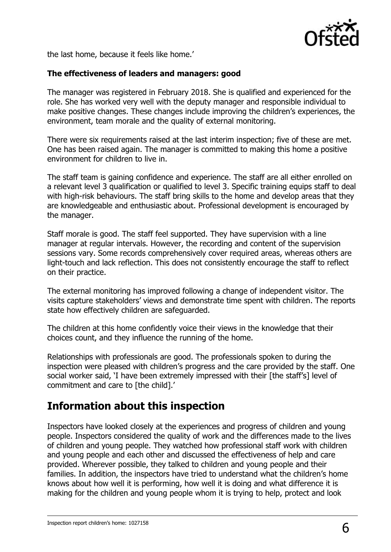

the last home, because it feels like home.'

#### **The effectiveness of leaders and managers: good**

The manager was registered in February 2018. She is qualified and experienced for the role. She has worked very well with the deputy manager and responsible individual to make positive changes. These changes include improving the children's experiences, the environment, team morale and the quality of external monitoring.

There were six requirements raised at the last interim inspection; five of these are met. One has been raised again. The manager is committed to making this home a positive environment for children to live in.

The staff team is gaining confidence and experience. The staff are all either enrolled on a relevant level 3 qualification or qualified to level 3. Specific training equips staff to deal with high-risk behaviours. The staff bring skills to the home and develop areas that they are knowledgeable and enthusiastic about. Professional development is encouraged by the manager.

Staff morale is good. The staff feel supported. They have supervision with a line manager at regular intervals. However, the recording and content of the supervision sessions vary. Some records comprehensively cover required areas, whereas others are light-touch and lack reflection. This does not consistently encourage the staff to reflect on their practice.

The external monitoring has improved following a change of independent visitor. The visits capture stakeholders' views and demonstrate time spent with children. The reports state how effectively children are safeguarded.

The children at this home confidently voice their views in the knowledge that their choices count, and they influence the running of the home.

Relationships with professionals are good. The professionals spoken to during the inspection were pleased with children's progress and the care provided by the staff. One social worker said, 'I have been extremely impressed with their [the staff's] level of commitment and care to [the child].'

## **Information about this inspection**

Inspectors have looked closely at the experiences and progress of children and young people. Inspectors considered the quality of work and the differences made to the lives of children and young people. They watched how professional staff work with children and young people and each other and discussed the effectiveness of help and care provided. Wherever possible, they talked to children and young people and their families. In addition, the inspectors have tried to understand what the children's home knows about how well it is performing, how well it is doing and what difference it is making for the children and young people whom it is trying to help, protect and look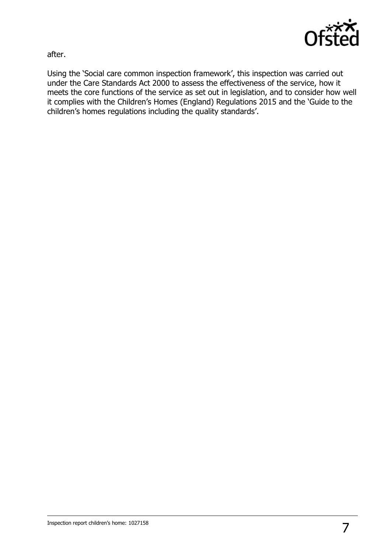

after.

Using the 'Social care common inspection framework', this inspection was carried out under the Care Standards Act 2000 to assess the effectiveness of the service, how it meets the core functions of the service as set out in legislation, and to consider how well it complies with the Children's Homes (England) Regulations 2015 and the 'Guide to the children's homes regulations including the quality standards'.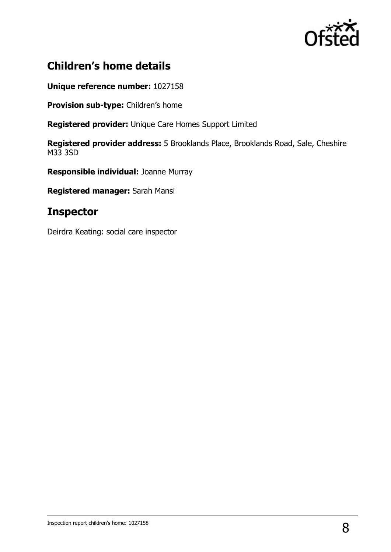

## **Children's home details**

**Unique reference number:** 1027158

**Provision sub-type:** Children's home

**Registered provider:** Unique Care Homes Support Limited

**Registered provider address:** 5 Brooklands Place, Brooklands Road, Sale, Cheshire M33 3SD

**Responsible individual:** Joanne Murray

**Registered manager:** Sarah Mansi

### **Inspector**

Deirdra Keating: social care inspector